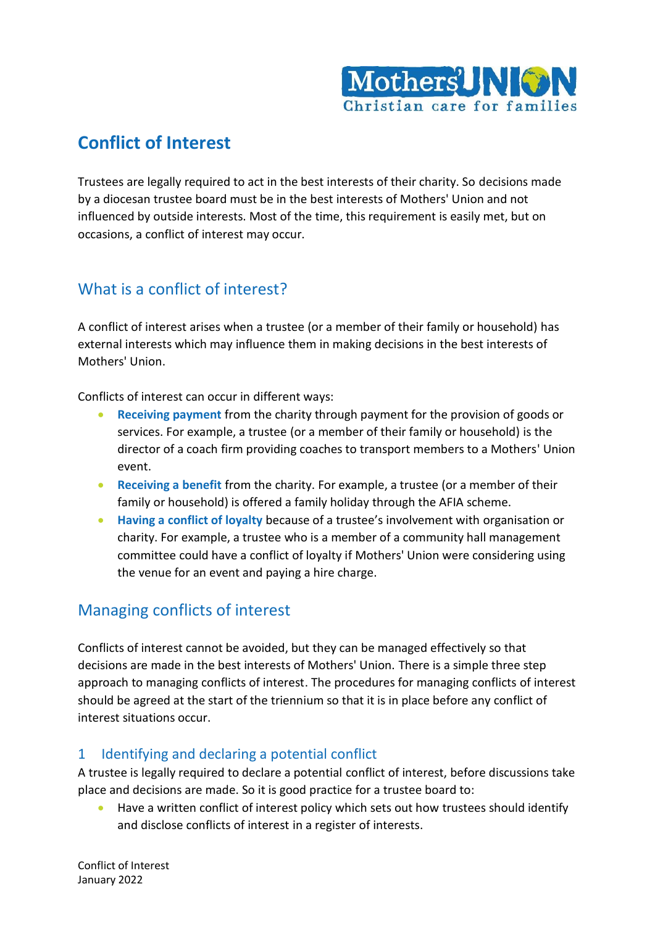

## **Conflict of Interest**

Trustees are legally required to act in the best interests of their charity. So decisions made by a diocesan trustee board must be in the best interests of Mothers' Union and not influenced by outside interests. Most of the time, this requirement is easily met, but on occasions, a conflict of interest may occur.

## What is a conflict of interest?

A conflict of interest arises when a trustee (or a member of their family or household) has external interests which may influence them in making decisions in the best interests of Mothers' Union.

Conflicts of interest can occur in different ways:

- **Receiving payment** from the charity through payment for the provision of goods or services. For example, a trustee (or a member of their family or household) is the director of a coach firm providing coaches to transport members to a Mothers' Union event.
- **Receiving a benefit** from the charity. For example, a trustee (or a member of their family or household) is offered a family holiday through the AFIA scheme.
- **Having a conflict of loyalty** because of a trustee's involvement with organisation or charity. For example, a trustee who is a member of a community hall management committee could have a conflict of loyalty if Mothers' Union were considering using the venue for an event and paying a hire charge.

## Managing conflicts of interest

Conflicts of interest cannot be avoided, but they can be managed effectively so that decisions are made in the best interests of Mothers' Union. There is a simple three step approach to managing conflicts of interest. The procedures for managing conflicts of interest should be agreed at the start of the triennium so that it is in place before any conflict of interest situations occur.

#### 1 Identifying and declaring a potential conflict

A trustee is legally required to declare a potential conflict of interest, before discussions take place and decisions are made. So it is good practice for a trustee board to:

• Have a written conflict of interest policy which sets out how trustees should identify and disclose conflicts of interest in a register of interests.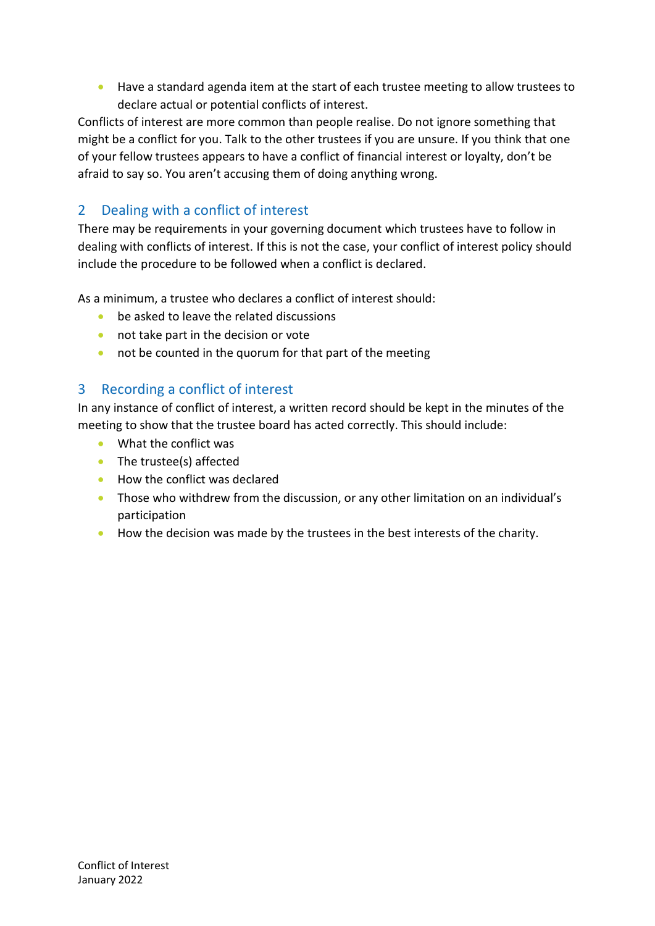• Have a standard agenda item at the start of each trustee meeting to allow trustees to declare actual or potential conflicts of interest.

Conflicts of interest are more common than people realise. Do not ignore something that might be a conflict for you. Talk to the other trustees if you are unsure. If you think that one of your fellow trustees appears to have a conflict of financial interest or loyalty, don't be afraid to say so. You aren't accusing them of doing anything wrong.

### 2 Dealing with a conflict of interest

There may be requirements in your governing document which trustees have to follow in dealing with conflicts of interest. If this is not the case, your conflict of interest policy should include the procedure to be followed when a conflict is declared.

As a minimum, a trustee who declares a conflict of interest should:

- be asked to leave the related discussions
- not take part in the decision or vote
- not be counted in the quorum for that part of the meeting

#### 3 Recording a conflict of interest

In any instance of conflict of interest, a written record should be kept in the minutes of the meeting to show that the trustee board has acted correctly. This should include:

- What the conflict was
- The trustee(s) affected
- How the conflict was declared
- Those who withdrew from the discussion, or any other limitation on an individual's participation
- How the decision was made by the trustees in the best interests of the charity.